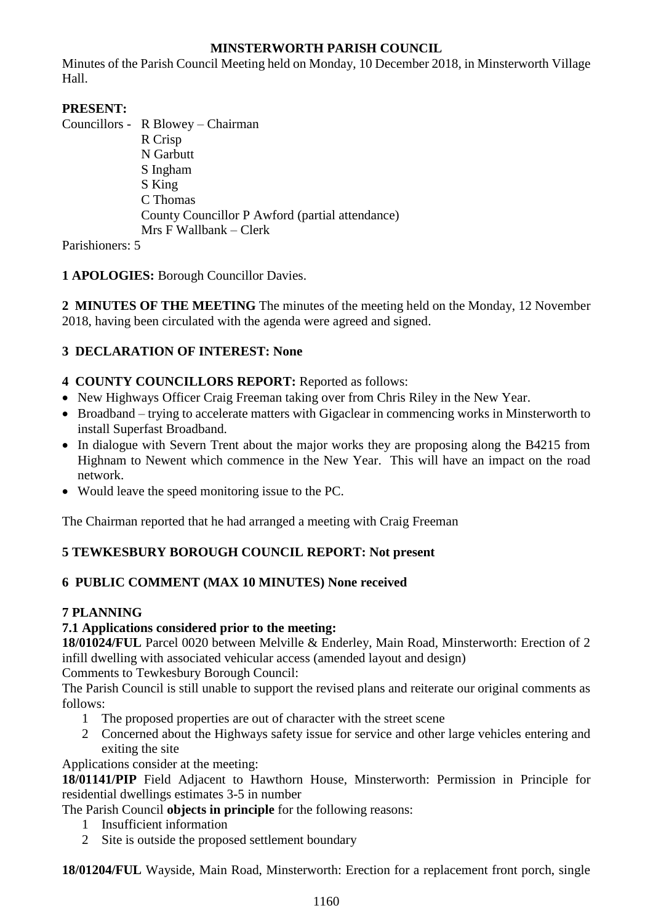## **MINSTERWORTH PARISH COUNCIL**

Minutes of the Parish Council Meeting held on Monday, 10 December 2018, in Minsterworth Village Hall.

# **PRESENT:**

Councillors - R Blowey – Chairman R Crisp N Garbutt S Ingham S King C Thomas County Councillor P Awford (partial attendance) Mrs F Wallbank – Clerk

Parishioners: 5

# **1 APOLOGIES:** Borough Councillor Davies.

**2 MINUTES OF THE MEETING** The minutes of the meeting held on the Monday, 12 November 2018, having been circulated with the agenda were agreed and signed.

# **3 DECLARATION OF INTEREST: None**

## **4 COUNTY COUNCILLORS REPORT:** Reported as follows:

- New Highways Officer Craig Freeman taking over from Chris Riley in the New Year.
- Broadband trying to accelerate matters with Gigaclear in commencing works in Minsterworth to install Superfast Broadband.
- In dialogue with Severn Trent about the major works they are proposing along the B4215 from Highnam to Newent which commence in the New Year. This will have an impact on the road network.
- Would leave the speed monitoring issue to the PC.

The Chairman reported that he had arranged a meeting with Craig Freeman

# **5 TEWKESBURY BOROUGH COUNCIL REPORT: Not present**

# **6 PUBLIC COMMENT (MAX 10 MINUTES) None received**

# **7 PLANNING**

## **7.1 Applications considered prior to the meeting:**

**18/01024/FUL** Parcel 0020 between Melville & Enderley, Main Road, Minsterworth: Erection of 2 infill dwelling with associated vehicular access (amended layout and design)

Comments to Tewkesbury Borough Council:

The Parish Council is still unable to support the revised plans and reiterate our original comments as follows:

- 1 The proposed properties are out of character with the street scene
- 2 Concerned about the Highways safety issue for service and other large vehicles entering and exiting the site

Applications consider at the meeting:

**18/01141/PIP** Field Adjacent to Hawthorn House, Minsterworth: Permission in Principle for residential dwellings estimates 3-5 in number

The Parish Council **objects in principle** for the following reasons:

- 1 Insufficient information
- 2 Site is outside the proposed settlement boundary

**18/01204/FUL** Wayside, Main Road, Minsterworth: Erection for a replacement front porch, single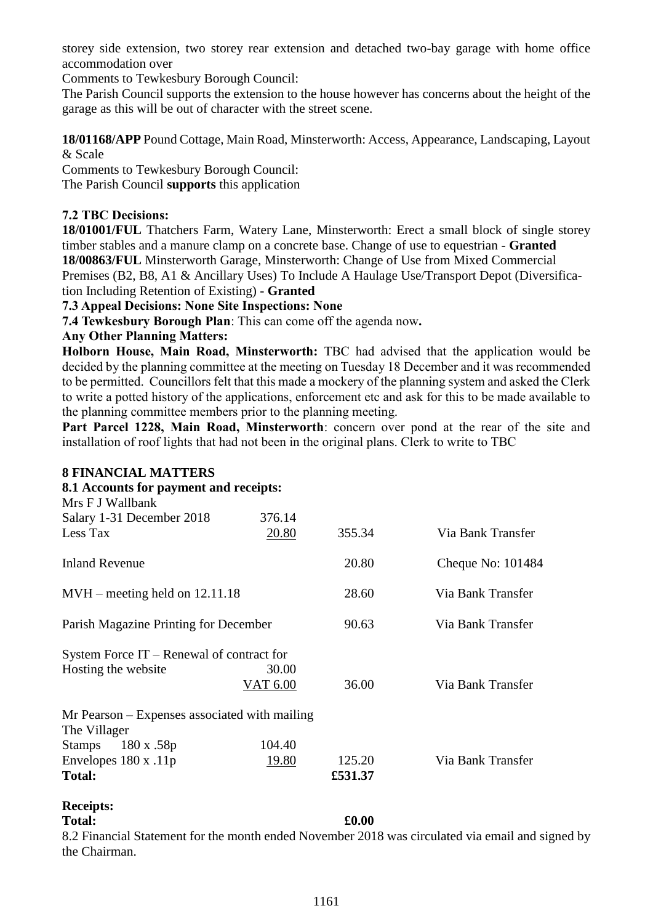storey side extension, two storey rear extension and detached two-bay garage with home office accommodation over

Comments to Tewkesbury Borough Council:

The Parish Council supports the extension to the house however has concerns about the height of the garage as this will be out of character with the street scene.

**18/01168/APP** Pound Cottage, Main Road, Minsterworth: Access, Appearance, Landscaping, Layout & Scale

Comments to Tewkesbury Borough Council:

The Parish Council **supports** this application

### **7.2 TBC Decisions:**

**18/01001/FUL** Thatchers Farm, Watery Lane, Minsterworth: Erect a small block of single storey timber stables and a manure clamp on a concrete base. Change of use to equestrian - **Granted 18/00863/FUL** Minsterworth Garage, Minsterworth: Change of Use from Mixed Commercial Premises (B2, B8, A1 & Ancillary Uses) To Include A Haulage Use/Transport Depot (Diversification Including Retention of Existing) - **Granted**

**7.3 Appeal Decisions: None Site Inspections: None**

**7.4 Tewkesbury Borough Plan**: This can come off the agenda now**.**

#### **Any Other Planning Matters:**

**Holborn House, Main Road, Minsterworth:** TBC had advised that the application would be decided by the planning committee at the meeting on Tuesday 18 December and it was recommended to be permitted. Councillors felt that this made a mockery of the planning system and asked the Clerk to write a potted history of the applications, enforcement etc and ask for this to be made available to the planning committee members prior to the planning meeting.

Part Parcel 1228, Main Road, Minsterworth: concern over pond at the rear of the site and installation of roof lights that had not been in the original plans. Clerk to write to TBC

#### **8 FINANCIAL MATTERS**

#### **8.1 Accounts for payment and receipts:**  $M$  FIW10

| N <sub>is</sub> F J Wallbank                  |          |         |                   |
|-----------------------------------------------|----------|---------|-------------------|
| Salary 1-31 December 2018                     | 376.14   |         |                   |
| Less Tax                                      | 20.80    | 355.34  | Via Bank Transfer |
| Inland Revenue                                |          | 20.80   | Cheque No: 101484 |
| $MVH$ – meeting held on 12.11.18              |          | 28.60   | Via Bank Transfer |
| Parish Magazine Printing for December         |          | 90.63   | Via Bank Transfer |
| System Force $IT -$ Renewal of contract for   |          |         |                   |
| Hosting the website                           | 30.00    |         |                   |
|                                               | VAT 6.00 | 36.00   | Via Bank Transfer |
| Mr Pearson – Expenses associated with mailing |          |         |                   |
| The Villager                                  |          |         |                   |
| 180 x .58p<br>Stamps                          | 104.40   |         |                   |
| Envelopes $180 x .11p$                        | 19.80    | 125.20  | Via Bank Transfer |
| <b>Total:</b>                                 |          | £531.37 |                   |
|                                               |          |         |                   |

#### **Receipts:**

#### **Total: £0.00**

8.2 Financial Statement for the month ended November 2018 was circulated via email and signed by the Chairman.